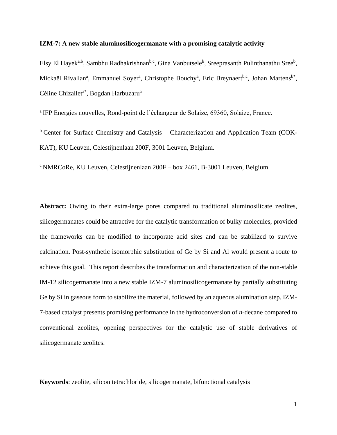## **IZM-7: A new stable aluminosilicogermanate with a promising catalytic activity**

Elsy El Hayek<sup>a,b</sup>, Sambhu Radhakrishnan<sup>b,c</sup>, Gina Vanbutsele<sup>b</sup>, Sreeprasanth Pulinthanathu Sree<sup>b</sup>, Mickaël Rivallan<sup>a</sup>, Emmanuel Soyer<sup>a</sup>, Christophe Bouchy<sup>a</sup>, Eric Breynaert<sup>b,c</sup>, Johan Martens<sup>b\*</sup>, Céline Chizallet<sup>a\*</sup>, Bogdan Harbuzaru<sup>a</sup>

<sup>a</sup> IFP Energies nouvelles, Rond-point de l'échangeur de Solaize, 69360, Solaize, France.

<sup>b</sup> Center for Surface Chemistry and Catalysis – Characterization and Application Team (COK-KAT), KU Leuven, Celestijnenlaan 200F, 3001 Leuven, Belgium.

 $c$  NMRCoRe, KU Leuven, Celestijnenlaan 200F – box 2461, B-3001 Leuven, Belgium.

Abstract: Owing to their extra-large pores compared to traditional aluminosilicate zeolites, silicogermanates could be attractive for the catalytic transformation of bulky molecules, provided the frameworks can be modified to incorporate acid sites and can be stabilized to survive calcination. Post-synthetic isomorphic substitution of Ge by Si and Al would present a route to achieve this goal. This report describes the transformation and characterization of the non-stable IM-12 silicogermanate into a new stable IZM-7 aluminosilicogermanate by partially substituting Ge by Si in gaseous form to stabilize the material, followed by an aqueous alumination step. IZM-7-based catalyst presents promising performance in the hydroconversion of *n*-decane compared to conventional zeolites, opening perspectives for the catalytic use of stable derivatives of silicogermanate zeolites.

**Keywords**: zeolite, silicon tetrachloride, silicogermanate, bifunctional catalysis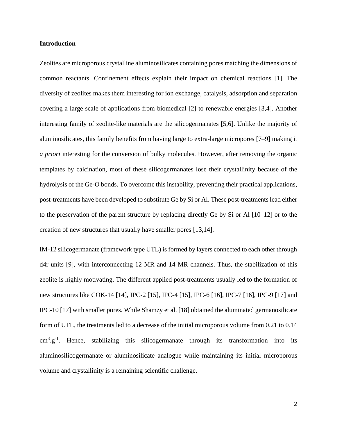## **Introduction**

Zeolites are microporous crystalline aluminosilicates containing pores matching the dimensions of common reactants. Confinement effects explain their impact on chemical reactions [1]. The diversity of zeolites makes them interesting for ion exchange, catalysis, adsorption and separation covering a large scale of applications from biomedical [2] to renewable energies [3,4]. Another interesting family of zeolite-like materials are the silicogermanates [5,6]. Unlike the majority of aluminosilicates, this family benefits from having large to extra-large micropores [7–9] making it *a priori* interesting for the conversion of bulky molecules. However, after removing the organic templates by calcination, most of these silicogermanates lose their crystallinity because of the hydrolysis of the Ge-O bonds. To overcome this instability, preventing their practical applications, post-treatments have been developed to substitute Ge by Si or Al. These post-treatments lead either to the preservation of the parent structure by replacing directly Ge by Si or Al [10–12] or to the creation of new structures that usually have smaller pores [13,14].

IM-12 silicogermanate (framework type UTL) is formed by layers connected to each other through d4r units [9], with interconnecting 12 MR and 14 MR channels. Thus, the stabilization of this zeolite is highly motivating. The different applied post-treatments usually led to the formation of new structures like COK-14 [14], IPC-2 [15], IPC-4 [15], IPC-6 [16], IPC-7 [16], IPC-9 [17] and IPC-10 [17] with smaller pores. While Shamzy et al. [18] obtained the aluminated germanosilicate form of UTL, the treatments led to a decrease of the initial microporous volume from 0.21 to 0.14  $cm<sup>3</sup>.g<sup>-1</sup>$ . Hence, stabilizing this silicogermanate through its transformation into its aluminosilicogermanate or aluminosilicate analogue while maintaining its initial microporous volume and crystallinity is a remaining scientific challenge.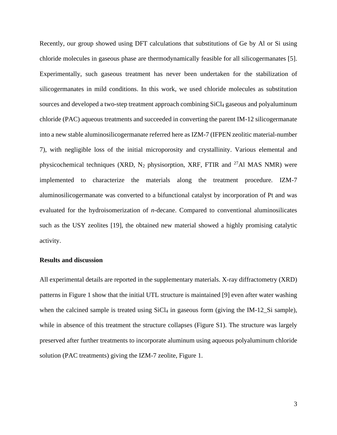Recently, our group showed using DFT calculations that substitutions of Ge by Al or Si using chloride molecules in gaseous phase are thermodynamically feasible for all silicogermanates [5]. Experimentally, such gaseous treatment has never been undertaken for the stabilization of silicogermanates in mild conditions. In this work, we used chloride molecules as substitution sources and developed a two-step treatment approach combining  $SiCl<sub>4</sub>$  gaseous and polyaluminum chloride (PAC) aqueous treatments and succeeded in converting the parent IM-12 silicogermanate into a new stable aluminosilicogermanate referred here as IZM-7 (IFPEN zeolitic material-number 7), with negligible loss of the initial microporosity and crystallinity. Various elemental and physicochemical techniques (XRD,  $N_2$  physisorption, XRF, FTIR and <sup>27</sup>Al MAS NMR) were implemented to characterize the materials along the treatment procedure. IZM-7 aluminosilicogermanate was converted to a bifunctional catalyst by incorporation of Pt and was evaluated for the hydroisomerization of *n*-decane. Compared to conventional aluminosilicates such as the USY zeolites [19], the obtained new material showed a highly promising catalytic activity.

# **Results and discussion**

All experimental details are reported in the supplementary materials. X-ray diffractometry (XRD) patterns in [Figure 1](#page-3-0) show that the initial UTL structure is maintained [9] even after water washing when the calcined sample is treated using  $SiCl<sub>4</sub>$  in gaseous form (giving the IM-12\_Si sample), while in absence of this treatment the structure collapses (Figure S1). The structure was largely preserved after further treatments to incorporate aluminum using aqueous polyaluminum chloride solution (PAC treatments) giving the IZM-7 zeolite, [Figure 1.](#page-3-0)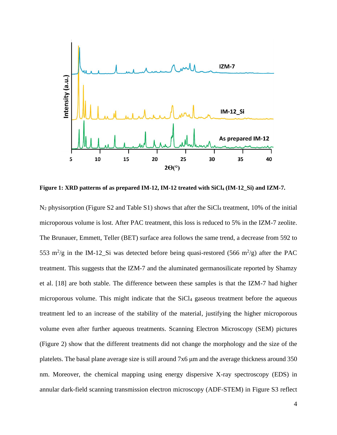

<span id="page-3-0"></span>**Figure 1: XRD patterns of as prepared IM-12, IM-12 treated with SiCl<sup>4</sup> (IM-12\_Si) and IZM-7.**

 $N_2$  physisorption (Figure S2 and Table S1) shows that after the SiCl<sub>4</sub> treatment, 10% of the initial microporous volume is lost. After PAC treatment, this loss is reduced to 5% in the IZM-7 zeolite. The Brunauer, Emmett, Teller (BET) surface area follows the same trend, a decrease from 592 to 553 m<sup>2</sup>/g in the IM-12\_Si was detected before being quasi-restored (566 m<sup>2</sup>/g) after the PAC treatment. This suggests that the IZM-7 and the aluminated germanosilicate reported by Shamzy et al. [18] are both stable. The difference between these samples is that the IZM-7 had higher microporous volume. This might indicate that the SiCl<sub>4</sub> gaseous treatment before the aqueous treatment led to an increase of the stability of the material, justifying the higher microporous volume even after further aqueous treatments. Scanning Electron Microscopy (SEM) pictures [\(Figure 2\)](#page-5-0) show that the different treatments did not change the morphology and the size of the platelets. The basal plane average size is still around 7x6 μm and the average thickness around 350 nm. Moreover, the chemical mapping using energy dispersive X-ray spectroscopy (EDS) in annular dark-field scanning transmission electron microscopy (ADF-STEM) in Figure S3 reflect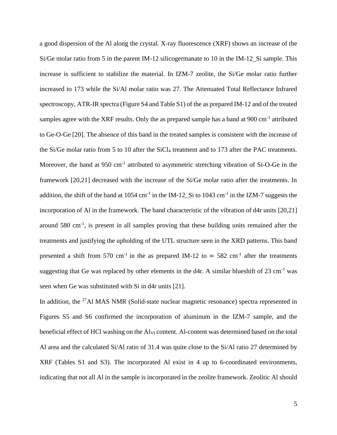a good dispersion of the Al along the crystal. X-ray fluorescence (XRF) shows an increase of the Si/Ge molar ratio from 5 in the parent IM-12 silicogermanate to 10 in the IM-12\_Si sample. This increase is sufficient to stabilize the material. In IZM-7 zeolite, the Si/Ge molar ratio further increased to 173 while the Si/Al molar ratio was 27. The Attenuated Total Reflectance Infrared spectroscopy, ATR-IR spectra (Figure S4 and Table S1) of the as prepared IM-12 and of the treated samples agree with the XRF results. Only the as prepared sample has a band at 900 cm<sup>-1</sup> attributed to Ge-O-Ge [20]. The absence of this band in the treated samples is consistent with the increase of the Si/Ge molar ratio from 5 to 10 after the SiCl<sup>4</sup> treatment and to 173 after the PAC treatments. Moreover, the band at 950 cm<sup>-1</sup> attributed to asymmetric stretching vibration of Si-O-Ge in the framework [20,21] decreased with the increase of the Si/Ge molar ratio after the treatments. In addition, the shift of the band at  $1054 \text{ cm}^{-1}$  in the IM-12\_Si to  $1043 \text{ cm}^{-1}$  in the IZM-7 suggests the incorporation of Al in the framework. The band characteristic of the vibration of d4r units [20,21] around 580 cm<sup>-1</sup>, is present in all samples proving that these building units remained after the treatments and justifying the upholding of the UTL structure seen in the XRD patterns. This band presented a shift from 570 cm<sup>-1</sup> in the as prepared IM-12 to  $\simeq$  582 cm<sup>-1</sup> after the treatments suggesting that Ge was replaced by other elements in the d4r. A similar blueshift of  $23 \text{ cm}^{-1}$  was seen when Ge was substituted with Si in d4r units [21].

In addition, the <sup>27</sup>Al MAS NMR (Solid-state nuclear magnetic resonance) spectra represented in Figures S5 and S6 confirmed the incorporation of aluminum in the IZM-7 sample, and the beneficial effect of HCl washing on the Al<sub>VI</sub> content. Al-content was determined based on the total Al area and the calculated Si/Al ratio of 31.4 was quite close to the Si/Al ratio 27 determined by XRF (Tables S1 and S3). The incorporated Al exist in 4 up to 6-coordinated environments, indicating that not all Al in the sample is incorporated in the zeolite framework. Zeolitic Al should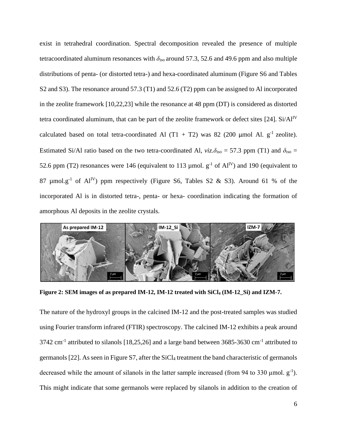exist in tetrahedral coordination. Spectral decomposition revealed the presence of multiple tetracoordinated aluminum resonances with  $\delta_{\rm iso}$  around 57.3, 52.6 and 49.6 ppm and also multiple distributions of penta- (or distorted tetra-) and hexa-coordinated aluminum (Figure S6 and Tables S2 and S3). The resonance around 57.3 (T1) and 52.6 (T2) ppm can be assigned to Al incorporated in the zeolite framework [10,22,23] while the resonance at 48 ppm (DT) is considered as distorted tetra coordinated aluminum, that can be part of the zeolite framework or defect sites [24]. Si/Al<sup>IV</sup> calculated based on total tetra-coordinated Al  $(T1 + T2)$  was 82 (200 µmol Al. g<sup>-1</sup> zeolite). Estimated Si/Al ratio based on the two tetra-coordinated Al,  $viz.\delta_{iso} = 57.3$  ppm (T1) and  $\delta_{iso} =$ 52.6 ppm (T2) resonances were 146 (equivalent to 113 µmol.  $g^{-1}$  of Al<sup>IV</sup>) and 190 (equivalent to 87 µmol.g<sup>-1</sup> of Al<sup>IV</sup>) ppm respectively (Figure S6, Tables S2 & S3). Around 61 % of the incorporated Al is in distorted tetra-, penta- or hexa- coordination indicating the formation of amorphous Al deposits in the zeolite crystals.



**Figure 2: SEM images of as prepared IM-12, IM-12 treated with SiCl<sup>4</sup> (IM-12\_Si) and IZM-7.**

<span id="page-5-0"></span>The nature of the hydroxyl groups in the calcined IM-12 and the post-treated samples was studied using Fourier transform infrared (FTIR) spectroscopy. The calcined IM-12 exhibits a peak around 3742 cm<sup>-1</sup> attributed to silanols [18,25,26] and a large band between 3685-3630 cm<sup>-1</sup> attributed to germanols [22]. As seen in Figure S7, after the  $SiCl<sub>4</sub>$  treatment the band characteristic of germanols decreased while the amount of silanols in the latter sample increased (from 94 to 330  $\mu$ mol.  $g^{-1}$ ). This might indicate that some germanols were replaced by silanols in addition to the creation of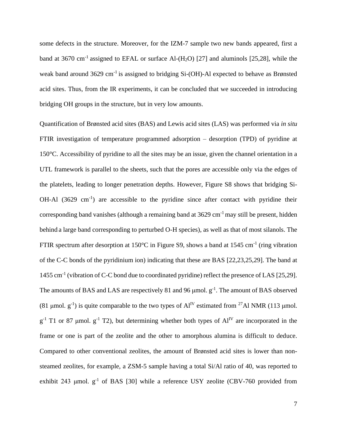some defects in the structure. Moreover, for the IZM-7 sample two new bands appeared, first a band at 3670 cm<sup>-1</sup> assigned to EFAL or surface Al- $(H_2O)$  [27] and aluminols [25,28], while the weak band around 3629 cm<sup>-1</sup> is assigned to bridging Si-(OH)-Al expected to behave as Brønsted acid sites. Thus, from the IR experiments, it can be concluded that we succeeded in introducing bridging OH groups in the structure, but in very low amounts.

Quantification of Brønsted acid sites (BAS) and Lewis acid sites (LAS) was performed via *in situ* FTIR investigation of temperature programmed adsorption – desorption (TPD) of pyridine at 150°C. Accessibility of pyridine to all the sites may be an issue, given the channel orientation in a UTL framework is parallel to the sheets, such that the pores are accessible only via the edges of the platelets, leading to longer penetration depths. However, Figure S8 shows that bridging Si-OH-Al  $(3629 \text{ cm}^{-1})$  are accessible to the pyridine since after contact with pyridine their corresponding band vanishes (although a remaining band at  $3629 \text{ cm}^{-1}$  may still be present, hidden behind a large band corresponding to perturbed O-H species), as well as that of most silanols. The FTIR spectrum after desorption at 150 $^{\circ}$ C in Figure S9, shows a band at 1545 cm<sup>-1</sup> (ring vibration of the C-C bonds of the pyridinium ion) indicating that these are BAS [22,23,25,29]. The band at 1455 cm<sup>-1</sup> (vibration of C-C bond due to coordinated pyridine) reflect the presence of LAS [25,29]. The amounts of BAS and LAS are respectively 81 and 96  $\mu$ mol.  $g^{-1}$ . The amount of BAS observed (81 µmol.  $g^{-1}$ ) is quite comparable to the two types of  $Al<sup>IV</sup>$  estimated from <sup>27</sup>Al NMR (113 µmol.  $g^{-1}$  T1 or 87 µmol.  $g^{-1}$  T2), but determining whether both types of  $Al^{IV}$  are incorporated in the frame or one is part of the zeolite and the other to amorphous alumina is difficult to deduce. Compared to other conventional zeolites, the amount of Brønsted acid sites is lower than nonsteamed zeolites, for example, a ZSM-5 sample having a total Si/Al ratio of 40, was reported to exhibit 243  $\mu$ mol.  $g^{-1}$  of BAS [30] while a reference USY zeolite (CBV-760 provided from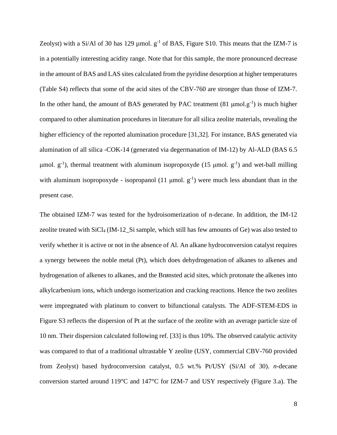Zeolyst) with a Si/Al of 30 has 129  $\mu$ mol.  $g^{-1}$  of BAS, Figure S10. This means that the IZM-7 is in a potentially interesting acidity range. Note that for this sample, the more pronounced decrease in the amount of BAS and LAS sites calculated from the pyridine desorption at higher temperatures (Table S4) reflects that some of the acid sites of the CBV-760 are stronger than those of IZM-7. In the other hand, the amount of BAS generated by PAC treatment  $(81 \mu mol.g^{-1})$  is much higher compared to other alumination procedures in literature for all silica zeolite materials, revealing the higher efficiency of the reported alumination procedure [31,32]. For instance, BAS generated via alumination of all silica -COK-14 (generated via degermanation of IM-12) by Al-ALD (BAS 6.5 μmol.  $g^{-1}$ ), thermal treatment with aluminum isopropoxyde (15 μmol.  $g^{-1}$ ) and wet-ball milling with aluminum isopropoxyde - isopropanol  $(11 \text{ µmol. } g^{-1})$  were much less abundant than in the present case.

The obtained IZM-7 was tested for the hydroisomerization of n-decane. In addition, the IM-12 zeolite treated with SiCl<sub>4</sub> (IM-12 Si sample, which still has few amounts of Ge) was also tested to verify whether it is active or not in the absence of Al. An alkane hydroconversion catalyst requires a synergy between the noble metal (Pt), which does [dehydrogenation](https://www.sciencedirect.com/topics/chemical-engineering/dehydrogenation) of alkanes to alkenes and hydrogenation of [alkenes](https://www.sciencedirect.com/topics/chemical-engineering/olefin) to alkanes, and the Brønsted acid sites, which protonate the alkenes into alkylcarbenium ions, which undergo isomerization and cracking reactions. Hence the two zeolites were impregnated with platinum to convert to bifunctional catalysts. The ADF-STEM-EDS in Figure S3 reflects the dispersion of Pt at the surface of the zeolite with an average particle size of 10 nm. Their dispersion calculated following ref. [33] is thus 10%. The observed catalytic activity was compared to that of a traditional ultrastable Y zeolite (USY, commercial CBV-760 provided from Zeolyst) based hydroconversion catalyst, 0.5 wt.% Pt/USY (Si/Al of 30). *n*-decane conversion started around 119°C and 147°C for IZM-7 and USY respectively [\(Figure 3.](#page-10-0)a). The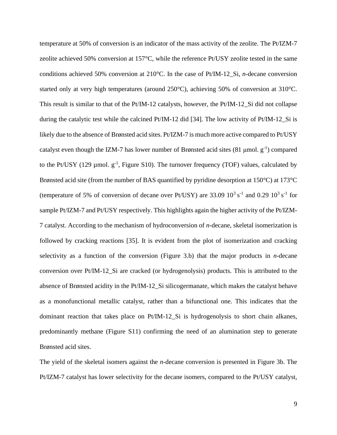temperature at 50% of conversion is an indicator of the mass activity of the zeolite. The Pt/IZM-7 zeolite achieved 50% conversion at 157°C, while the reference Pt/USY zeolite tested in the same conditions achieved 50% conversion at 210°C. In the case of Pt/IM-12\_Si, *n*-decane conversion started only at very high temperatures (around 250°C), achieving 50% of conversion at 310°C. This result is similar to that of the Pt/IM-12 catalysts, however, the Pt/IM-12\_Si did not collapse during the catalytic test while the calcined Pt/IM-12 did [34]. The low activity of Pt/IM-12\_Si is likely due to the absence of Brønsted acid sites. Pt/IZM-7 is much more active compared to Pt/USY catalyst even though the IZM-7 has lower number of Brønsted acid sites  $(81 \text{ µmol. g}^{-1})$  compared to the Pt/USY (129 µmol.  $g^{-1}$ , Figure S10). The turnover frequency (TOF) values, calculated by Brønsted acid site (from the number of BAS quantified by pyridine desorption at 150°C) at 173°C (temperature of 5% of conversion of decane over Pt/USY) are 33.09  $10^3$  s<sup>-1</sup> and 0.29  $10^3$  s<sup>-1</sup> for sample Pt/IZM-7 and Pt/USY respectively. This highlights again the higher activity of the Pt/IZM-7 catalyst. According to the mechanism of hydroconversion of *n-*decane, skeletal isomerization is followed by cracking reactions [35]. It is evident from the plot of isomerization and cracking selectivity as a function of the conversion [\(Figure 3.](#page-10-0)b) that the major products in *n*-decane conversion over Pt/IM-12\_Si are cracked (or hydrogenolysis) products. This is attributed to the absence of Brønsted acidity in the Pt/IM-12\_Si silicogermanate, which makes the catalyst behave as a monofunctional metallic catalyst, rather than a bifunctional one. This indicates that the dominant reaction that takes place on Pt/IM-12\_Si is hydrogenolysis to short chain alkanes, predominantly methane (Figure S11) confirming the need of an alumination step to generate Brønsted acid sites.

The yield of the skeletal isomers against the *n*-decane conversion is presented in [Figure 3b](#page-10-0). The Pt/IZM-7 catalyst has lower selectivity for the decane isomers, compared to the Pt/USY catalyst,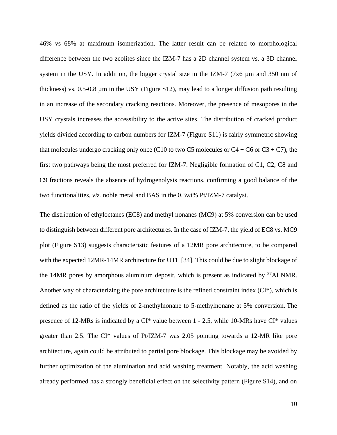46% vs 68% at maximum isomerization. The latter result can be related to morphological difference between the two zeolites since the IZM-7 has a 2D channel system vs. a 3D channel system in the USY. In addition, the bigger crystal size in the IZM-7 (7 $x6 \mu m$  and 350 nm of thickness) vs. 0.5-0.8 µm in the USY (Figure S12), may lead to a longer diffusion path resulting in an increase of the secondary cracking reactions. Moreover, the presence of mesopores in the USY crystals increases the accessibility to the active sites. The distribution of cracked product yields divided according to carbon numbers for IZM-7 (Figure S11) is fairly symmetric showing that molecules undergo cracking only once (C10 to two C5 molecules or C4 + C6 or C3 + C7), the first two pathways being the most preferred for IZM-7. Negligible formation of C1, C2, C8 and C9 fractions reveals the absence of hydrogenolysis reactions, confirming a good balance of the two functionalities, *viz.* noble metal and BAS in the 0.3wt% Pt/IZM-7 catalyst.

The distribution of ethyloctanes (EC8) and methyl nonanes (MC9) at 5% conversion can be used to distinguish between different pore architectures. In the case of IZM-7, the yield of EC8 vs. MC9 plot (Figure S13) suggests characteristic features of a 12MR pore architecture, to be compared with the expected 12MR-14MR architecture for UTL [34]. This could be due to slight blockage of the 14MR pores by amorphous aluminum deposit, which is present as indicated by  $27$ Al NMR. Another way of characterizing the pore architecture is the refined constraint index (CI\*), which is defined as the ratio of the yields of 2-methylnonane to 5-methylnonane at 5% conversion. The presence of 12-MRs is indicated by a CI\* value between 1 - 2.5, while 10-MRs have CI\* values greater than 2.5. The CI\* values of Pt/IZM-7 was 2.05 pointing towards a 12-MR like pore architecture, again could be attributed to partial pore blockage. This blockage may be avoided by further optimization of the alumination and acid washing treatment. Notably, the acid washing already performed has a strongly beneficial effect on the selectivity pattern (Figure S14), and on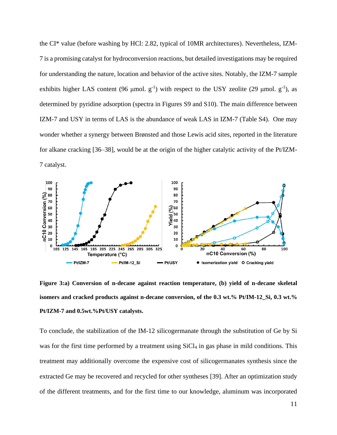the CI\* value (before washing by HCl: 2.82, typical of 10MR architectures). Nevertheless, IZM-7 is a promising catalyst for hydroconversion reactions, but detailed investigations may be required for understanding the nature, location and behavior of the active sites. Notably, the IZM-7 sample exhibits higher LAS content (96 µmol.  $g^{-1}$ ) with respect to the USY zeolite (29 µmol.  $g^{-1}$ ), as determined by pyridine adsorption (spectra in Figures S9 and S10). The main difference between IZM-7 and USY in terms of LAS is the abundance of weak LAS in IZM-7 (Table S4). One may wonder whether a synergy between Brønsted and those Lewis acid sites, reported in the literature for alkane cracking [36–38], would be at the origin of the higher catalytic activity of the Pt/IZM-7 catalyst.



<span id="page-10-0"></span>**Figure 3:a) Conversion of n-decane against reaction temperature, (b) yield of n-decane skeletal isomers and cracked products against n-decane conversion, of the 0.3 wt.% Pt/IM-12\_Si, 0.3 wt.% Pt/IZM-7 and 0.5wt.%Pt/USY catalysts.**

To conclude, the stabilization of the IM-12 silicogermanate through the substitution of Ge by Si was for the first time performed by a treatment using SiCl<sub>4</sub> in gas phase in mild conditions. This treatment may additionally overcome the expensive cost of silicogermanates synthesis since the extracted Ge may be recovered and recycled for other syntheses [39]. After an optimization study of the different treatments, and for the first time to our knowledge, aluminum was incorporated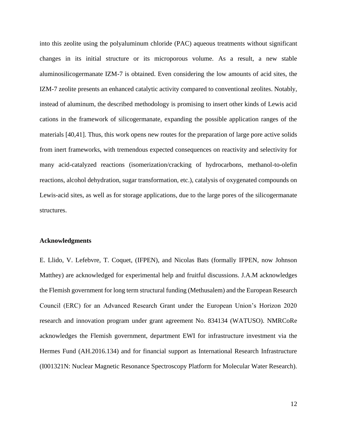into this zeolite using the polyaluminum chloride (PAC) aqueous treatments without significant changes in its initial structure or its microporous volume. As a result, a new stable aluminosilicogermanate IZM-7 is obtained. Even considering the low amounts of acid sites, the IZM-7 zeolite presents an enhanced catalytic activity compared to conventional zeolites. Notably, instead of aluminum, the described methodology is promising to insert other kinds of Lewis acid cations in the framework of silicogermanate, expanding the possible application ranges of the materials [40,41]. Thus, this work opens new routes for the preparation of large pore active solids from inert frameworks, with tremendous expected consequences on reactivity and selectivity for many acid-catalyzed reactions (isomerization/cracking of hydrocarbons, methanol-to-olefin reactions, alcohol dehydration, sugar transformation, etc.), catalysis of oxygenated compounds on Lewis-acid sites, as well as for storage applications, due to the large pores of the silicogermanate structures.

#### **Acknowledgments**

E. Llido, V. Lefebvre, T. Coquet, (IFPEN), and Nicolas Bats (formally IFPEN, now Johnson Matthey) are acknowledged for experimental help and fruitful discussions. J.A.M acknowledges the Flemish government for long term structural funding (Methusalem) and the European Research Council (ERC) for an Advanced Research Grant under the European Union's Horizon 2020 research and innovation program under grant agreement No. 834134 (WATUSO). NMRCoRe acknowledges the Flemish government, department EWI for infrastructure investment via the Hermes Fund (AH.2016.134) and for financial support as International Research Infrastructure (I001321N: Nuclear Magnetic Resonance Spectroscopy Platform for Molecular Water Research).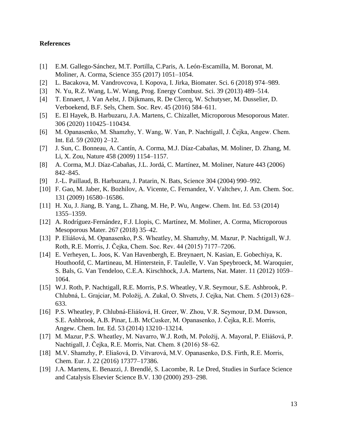# **References**

- [1] E.M. Gallego-Sánchez, M.T. Portilla, C.Paris, A. León-Escamilla, M. Boronat, M. Moliner, A. Corma, Science 355 (2017) 1051–1054.
- [2] L. Bacakova, M. Vandrovcova, I. Kopova, I. Jirka, Biomater. Sci. 6 (2018) 974–989.
- [3] N. Yu, R.Z. Wang, L.W. Wang, Prog. Energy Combust. Sci. 39 (2013) 489–514.
- [4] T. Ennaert, J. Van Aelst, J. Dijkmans, R. De Clercq, W. Schutyser, M. Dusselier, D. Verboekend, B.F. Sels, Chem. Soc. Rev. 45 (2016) 584–611.
- [5] E. El Hayek, B. Harbuzaru, J.A. Martens, C. Chizallet, Microporous Mesoporous Mater. 306 (2020) 110425–110434.
- [6] M. Opanasenko, M. Shamzhy, Y. Wang, W. Yan, P. Nachtigall, J. Čejka, Angew. Chem. Int. Ed. 59 (2020) 2–12.
- [7] J. Sun, C. Bonneau, A. Cantín, A. Corma, M.J. Díaz-Cabañas, M. Moliner, D. Zhang, M. Li, X. Zou, Nature 458 (2009) 1154–1157.
- [8] A. Corma, M.J. Díaz-Cabañas, J.L. Jordá, C. Martínez, M. Moliner, Nature 443 (2006) 842–845.
- [9] J.-L. Paillaud, B. Harbuzaru, J. Patarin, N. Bats, Science 304 (2004) 990–992.
- [10] F. Gao, M. Jaber, K. Bozhilov, A. Vicente, C. Fernandez, V. Valtchev, J. Am. Chem. Soc. 131 (2009) 16580–16586.
- [11] H. Xu, J. Jiang, B. Yang, L. Zhang, M. He, P. Wu, Angew. Chem. Int. Ed. 53 (2014) 1355–1359.
- [12] A. Rodríguez-Fernández, F.J. Llopis, C. Martínez, M. Moliner, A. Corma, Microporous Mesoporous Mater. 267 (2018) 35–42.
- [13] P. Eliášová, M. Opanasenko, P.S. Wheatley, M. Shamzhy, M. Mazur, P. Nachtigall, W.J. Roth, R.E. Morris, J. Čejka, Chem. Soc. Rev. 44 (2015) 7177–7206.
- [14] E. Verheyen, L. Joos, K. Van Havenbergh, E. Breynaert, N. Kasian, E. Gobechiya, K. Houthoofd, C. Martineau, M. Hinterstein, F. Taulelle, V. Van Speybroeck, M. Waroquier, S. Bals, G. Van Tendeloo, C.E.A. Kirschhock, J.A. Martens, Nat. Mater. 11 (2012) 1059– 1064.
- [15] W.J. Roth, P. Nachtigall, R.E. Morris, P.S. Wheatley, V.R. Seymour, S.E. Ashbrook, P. Chlubná, L. Grajciar, M. Položij, A. Zukal, O. Shvets, J. Cejka, Nat. Chem. 5 (2013) 628– 633.
- [16] P.S. Wheatley, P. Chlubná-Eliášová, H. Greer, W. Zhou, V.R. Seymour, D.M. Dawson, S.E. Ashbrook, A.B. Pinar, L.B. McCusker, M. Opanasenko, J. Čejka, R.E. Morris, Angew. Chem. Int. Ed. 53 (2014) 13210–13214.
- [17] M. Mazur, P.S. Wheatley, M. Navarro, W.J. Roth, M. Položij, A. Mayoral, P. Eliášová, P. Nachtigall, J. Čejka, R.E. Morris, Nat. Chem. 8 (2016) 58–62.
- [18] M.V. Shamzhy, P. Eliašová, D. Vitvarová, M.V. Opanasenko, D.S. Firth, R.E. Morris, Chem. Eur. J. 22 (2016) 17377–17386.
- [19] J.A. Martens, E. Benazzi, J. Brendlé, S. Lacombe, R. Le Dred, Studies in Surface Science and Catalysis Elsevier Science B.V. 130 (2000) 293–298.